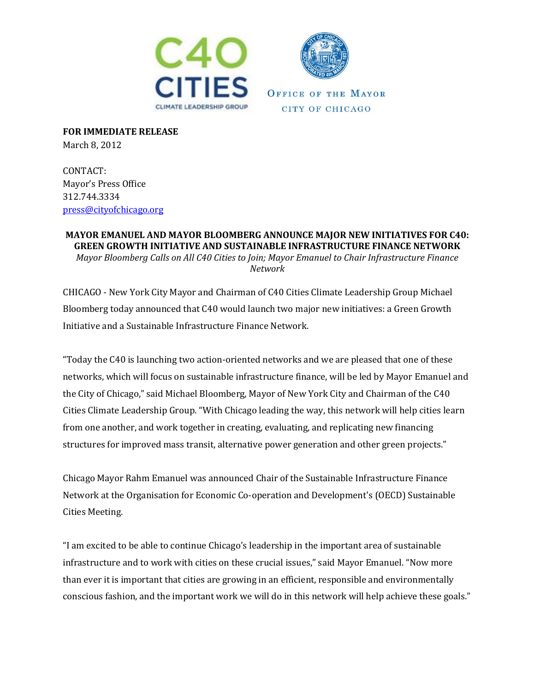



**FOR IMMEDIATE RELEASE**  March 8, 2012

CONTACT: Mayor's Press Office 312.744.3334 [press@cityofchicago.org](mailto:press@cityofchicago.org)

**MAYOR EMANUEL AND MAYOR BLOOMBERG ANNOUNCE MAJOR NEW INITIATIVES FOR C40: GREEN GROWTH INITIATIVE AND SUSTAINABLE INFRASTRUCTURE FINANCE NETWORK** *Mayor Bloomberg Calls on All C40 Cities to Join; Mayor Emanuel to Chair Infrastructure Finance Network*

CHICAGO - New York City Mayor and Chairman of C40 Cities Climate Leadership Group Michael Bloomberg today announced that C40 would launch two major new initiatives: a Green Growth Initiative and a Sustainable Infrastructure Finance Network.

"Today the C40 is launching two action-oriented networks and we are pleased that one of these networks, which will focus on sustainable infrastructure finance, will be led by Mayor Emanuel and the City of Chicago," said Michael Bloomberg, Mayor of New York City and Chairman of the C40 Cities Climate Leadership Group. "With Chicago leading the way, this network will help cities learn from one another, and work together in creating, evaluating, and replicating new financing structures for improved mass transit, alternative power generation and other green projects."

Chicago Mayor Rahm Emanuel was announced Chair of the Sustainable Infrastructure Finance Network at the Organisation for Economic Co-operation and Development's (OECD) Sustainable Cities Meeting.

"I am excited to be able to continue Chicago's leadership in the important area of sustainable infrastructure and to work with cities on these crucial issues," said Mayor Emanuel. "Now more than ever it is important that cities are growing in an efficient, responsible and environmentally conscious fashion, and the important work we will do in this network will help achieve these goals."